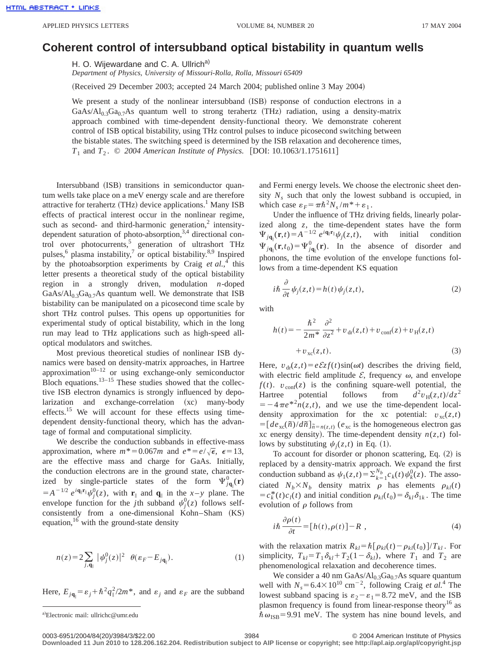## **Coherent control of intersubband optical bistability in quantum wells**

H. O. Wijewardane and C. A. Ullrich<sup>a)</sup>

*Department of Physics, University of Missouri-Rolla, Rolla, Missouri 65409*

(Received 29 December 2003; accepted 24 March 2004; published online 3 May 2004)

We present a study of the nonlinear intersubband  $(ISB)$  response of conduction electrons in a GaAs/ $Al_{0.3}Ga_{0.7}As$  quantum well to strong terahertz (THz) radiation, using a density-matrix approach combined with time-dependent density-functional theory. We demonstrate coherent control of ISB optical bistability, using THz control pulses to induce picosecond switching between the bistable states. The switching speed is determined by the ISB relaxation and decoherence times, *T*<sub>1</sub> and *T*<sub>2</sub>.  $\odot$  2004 American Institute of Physics. [DOI: 10.1063/1.1751611]

Intersubband (ISB) transitions in semiconductor quantum wells take place on a meV energy scale and are therefore attractive for terahertz (THz) device applications.<sup>1</sup> Many ISB effects of practical interest occur in the nonlinear regime, such as second- and third-harmonic generation, $\frac{2}{3}$  intensitydependent saturation of photo-absorption, $3,4$  directional control over photocurrents,<sup>5</sup> generation of ultrashort THz pulses,<sup>6</sup> plasma instability,<sup>7</sup> or optical bistability.<sup>8,9</sup> Inspired by the photoabsorption experiments by Craig *et al.*, <sup>4</sup> this letter presents a theoretical study of the optical bistability region in a strongly driven, modulation *n*-doped GaAs/ $Al_{0.3}Ga_{0.7}As$  quantum well. We demonstrate that ISB bistability can be manipulated on a picosecond time scale by short THz control pulses. This opens up opportunities for experimental study of optical bistability, which in the long run may lead to THz applications such as high-speed alloptical modulators and switches.

Most previous theoretical studies of nonlinear ISB dynamics were based on density-matrix approaches, in Hartree approximation $10^{-12}$  or using exchange-only semiconductor Bloch equations. $13-15$  These studies showed that the collective ISB electron dynamics is strongly influenced by depolarization and exchange-correlation (xc) many-body effects.<sup>15</sup> We will account for these effects using timedependent density-functional theory, which has the advantage of formal and computational simplicity.

We describe the conduction subbands in effective-mass approximation, where  $m^* = 0.067m$  and  $e^* = e/\sqrt{\epsilon}, \epsilon = 13$ , are the effective mass and charge for GaAs. Initially, the conduction electrons are in the ground state, characterized by single-particle states of the form  $\Psi_{j\mathbf{q}_{\parallel}}^0(\mathbf{r})$  $= A^{-1/2} e^{i\mathbf{q}_{\parallel} \cdot \mathbf{r}_{\parallel}} \psi_j^0(z)$ , with  $\mathbf{r}_{\parallel}$  and  $\mathbf{q}_{\parallel}$  in the *x*-*y* plane. The envelope function for the *j*th subband  $\psi_j^0(z)$  follows selfconsistently from a one-dimensional Kohn–Sham  $(KS)$ equation, $16$  with the ground-state density

$$
n(z) = 2 \sum_{j, \mathbf{q}_{\parallel}} |\psi_j^0(z)|^2 \ \theta(\varepsilon_F - E_{j\mathbf{q}_{\parallel}}). \tag{1}
$$

Here,  $E_{j\mathbf{q}_{\parallel}} = \varepsilon_j + \hbar^2 q_{\parallel}^2 / 2m^*$ , and  $\varepsilon_j$  and  $\varepsilon_F$  are the subband

and Fermi energy levels. We choose the electronic sheet density  $N_s$  such that only the lowest subband is occupied, in which case  $\varepsilon_F = \pi \hbar^2 N_s / m^* + \varepsilon_1$ .

Under the influence of THz driving fields, linearly polarized along *z*, the time-dependent states have the form  $\Psi_{j\mathbf{q}_{\parallel}}(\mathbf{r},t) = A^{-1/2} e^{i\mathbf{q}_{\parallel}\mathbf{r}_{\parallel}} \psi_j(z,t),$  with initial condition  $\Psi_{j\mathbf{q}_{\parallel}}(\mathbf{r},t_0) = \Psi_{j\mathbf{q}_{\parallel}}^0(\mathbf{r})$ . In the absence of disorder and phonons, the time evolution of the envelope functions follows from a time-dependent KS equation

$$
i\hbar \frac{\partial}{\partial t} \psi_j(z,t) = h(t) \psi_j(z,t), \qquad (2)
$$

with

$$
h(t) = -\frac{\hbar^2}{2m^*} \frac{\partial^2}{\partial z^2} + v_{\rm dr}(z, t) + v_{\rm conf}(z) + v_{\rm H}(z, t) + v_{\rm xc}(z, t).
$$
 (3)

Here,  $v_{dr}(z,t) = e \mathcal{E}z f(t) \sin(\omega t)$  describes the driving field, with electric field amplitude  $\mathcal{E}$ , frequency  $\omega$ , and envelope  $f(t)$ .  $v_{\text{conf}}(z)$  is the confining square-well potential, the Hartree potential follows from  $d^2v_H(z,t)/dz^2$  $=$   $-4\pi e^{2n}(z,t)$ , and we use the time-dependent localdensity approximation for the xc potential:  $v_{\text{xc}}(z,t)$  $= [de_{xc}(\tilde{n})/d\tilde{n}]_{\tilde{n}=n(z,t)}$  ( $e_{xc}$  is the homogeneous electron gas xc energy density). The time-dependent density  $n(z,t)$  follows by substituting  $\psi_i(z,t)$  in Eq. (1).

To account for disorder or phonon scattering, Eq.  $(2)$  is replaced by a density-matrix approach. We expand the first conduction subband as  $\psi_1(z,t) = \sum_{k=1}^{N_b} c_k(t) \psi_k^0(z)$ . The associated  $N_b \times N_b$  density matrix  $\rho$  has elements  $\rho_{kl}(t)$  $=c_k^*(t)c_l(t)$  and initial condition  $\rho_{kl}(t_0)=\delta_{kl}\delta_{1k}$ . The time evolution of  $\rho$  follows from

$$
i\hbar \frac{\partial \rho(t)}{\partial t} = [h(t), \rho(t)] - R \t\t(4)
$$

with the relaxation matrix  $R_{kl} = \hbar \left[ \rho_{kl}(t) - \rho_{kl}(t_0) \right] / T_{kl}$ . For simplicity,  $T_{kl} = T_1 \delta_{kl} + T_2(1 - \delta_{kl})$ , where  $T_1$  and  $T_2$  are phenomenological relaxation and decoherence times.

We consider a 40 nm GaAs/ $Al<sub>0.3</sub>Ga<sub>0.7</sub>As$  square quantum well with  $N_s = 6.4 \times 10^{10}$  cm<sup>-2</sup>, following Craig *et al.*<sup>4</sup> The lowest subband spacing is  $\varepsilon_2 - \varepsilon_1 = 8.72$  meV, and the ISB plasmon frequency is found from linear-response theory<sup>16</sup> as  $\hbar \omega_{\text{ISB}}$ =9.91 meV. The system has nine bound levels, and

**Downloaded 11 Jun 2010 to 128.206.162.204. Redistribution subject to AIP license or copyright; see http://apl.aip.org/apl/copyright.jsp**

a)Electronic mail: ullrichc@umr.edu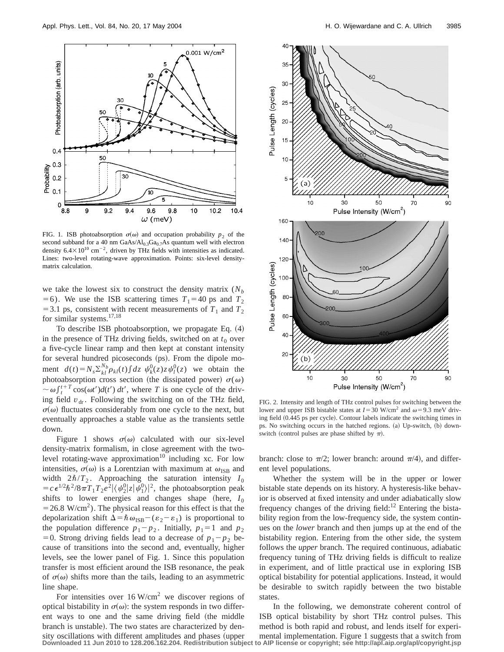

FIG. 1. ISB photoabsorption  $\sigma(\omega)$  and occupation probability  $p_2$  of the second subband for a 40 nm  $GaAs/Al<sub>0.3</sub>Ga<sub>0.7</sub>As quantum well with electron$ density  $6.4 \times 10^{10}$  cm<sup>-2</sup>, driven by THz fields with intensities as indicated. Lines: two-level rotating-wave approximation. Points: six-level densitymatrix calculation.

we take the lowest six to construct the density matrix  $(N_b)$ =6). We use the ISB scattering times  $T_1$ =40 ps and  $T_2$  $=$  3.1 ps, consistent with recent measurements of  $T_1$  and  $T_2$ for similar systems.<sup>17,18</sup>

To describe ISB photoabsorption, we propagate Eq. (4) in the presence of THz driving fields, switched on at  $t_0$  over a five-cycle linear ramp and then kept at constant intensity for several hundred picoseconds (ps). From the dipole moment  $d(t) = N_s \sum_{k,l}^{N_b} \rho_{kl}(t) \int dz \psi_k^0(z) z \psi_l^0(z)$  we obtain the photoabsorption cross section (the dissipated power)  $\sigma(\omega)$  $\sim \omega \int_{t}^{t+T} \cos(\omega t') d(t') dt'$ , where *T* is one cycle of the driving field  $v_{dr}$ . Following the switching on of the THz field,  $\sigma(\omega)$  fluctuates considerably from one cycle to the next, but eventually approaches a stable value as the transients settle down.

Figure 1 shows  $\sigma(\omega)$  calculated with our six-level density-matrix formalism, in close agreement with the twolevel rotating-wave approximation<sup>10</sup> including xc. For low intensities,  $\sigma(\omega)$  is a Lorentzian with maximum at  $\omega_{\text{ISR}}$  and width  $2\hbar/T_2$ . Approaching the saturation intensity  $I_0$  $=c\epsilon^{1/2}\hbar^2/8\pi T_1T_2e^2|\langle \psi_2^0|z|\psi_1^0\rangle|^2$ , the photoabsorption peak shifts to lower energies and changes shape (here,  $I_0$  $=$  26.8 W/cm<sup>2</sup>). The physical reason for this effect is that the depolarization shift  $\Delta = \hbar \omega_{\text{ISB}} - (\varepsilon_2 - \varepsilon_1)$  is proportional to the population difference  $p_1 - p_2$ . Initially,  $p_1 = 1$  and  $p_2$ =0. Strong driving fields lead to a decrease of  $p_1 - p_2$  because of transitions into the second and, eventually, higher levels, see the lower panel of Fig. 1. Since this population transfer is most efficient around the ISB resonance, the peak of  $\sigma(\omega)$  shifts more than the tails, leading to an asymmetric line shape.

For intensities over  $16$  W/cm<sup>2</sup> we discover regions of optical bistability in  $\sigma(\omega)$ : the system responds in two different ways to one and the same driving field (the middle branch is unstable). The two states are characterized by density oscillations with different amplitudes and phases (upper **Downloaded 11 Jun 2010 to 128.206.162.204. Redistribution subject to AIP license or copyright; see http://apl.aip.org/apl/copyright.jsp**



FIG. 2. Intensity and length of THz control pulses for switching between the lower and upper ISB bistable states at  $I=30$  W/cm<sup>2</sup> and  $\omega=9.3$  meV driving field (0.445 ps per cycle). Contour labels indicate the switching times in ps. No switching occurs in the hatched regions. (a) Up-switch, (b) downswitch (control pulses are phase shifted by  $\pi$ ).

branch: close to  $\pi/2$ ; lower branch: around  $\pi/4$ ), and different level populations.

Whether the system will be in the upper or lower bistable state depends on its history. A hysteresis-like behavior is observed at fixed intensity and under adiabatically slow frequency changes of the driving field:<sup>12</sup> Entering the bistability region from the low-frequency side, the system continues on the *lower* branch and then jumps up at the end of the bistability region. Entering from the other side, the system follows the *upper* branch. The required continuous, adiabatic frequency tuning of THz driving fields is difficult to realize in experiment, and of little practical use in exploring ISB optical bistability for potential applications. Instead, it would be desirable to switch rapidly between the two bistable states.

In the following, we demonstrate coherent control of ISB optical bistability by short THz control pulses. This method is both rapid and robust, and lends itself for experimental implementation. Figure 1 suggests that a switch from